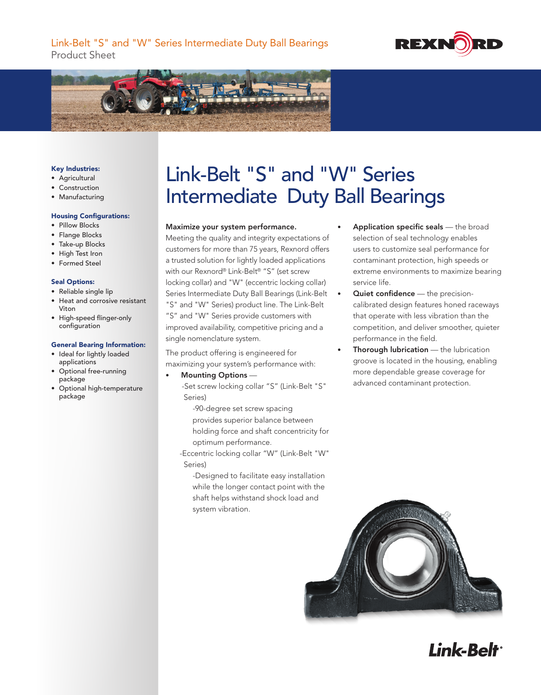



## Key Industries:

- • Agricultural
- • Construction
- • Manufacturing

## Housing Configurations:

- Pillow Blocks
- Flange Blocks
- • Take-up Blocks
- High Test Iron
- • Formed Steel

## Seal Options:

- • Reliable single lip
- • Heat and corrosive resistant Viton
- • High-speed flinger-only configuration

### General Bearing Information:

- • Ideal for lightly loaded applications
- • Optional free-running package
- • Optional high-temperature package

# Link-Belt "S" and "W" Series Intermediate Duty Ball Bearings

# Maximize your system performance.

Meeting the quality and integrity expectations of customers for more than 75 years, Rexnord offers a trusted solution for lightly loaded applications with our Rexnord® Link-Belt® "S" (set screw locking collar) and "W" (eccentric locking collar) Series Intermediate Duty Ball Bearings (Link-Belt "S" and "W" Series) product line. The Link-Belt "S" and "W" Series provide customers with improved availability, competitive pricing and a single nomenclature system.

The product offering is engineered for maximizing your system's performance with:

Mounting Options -

 -Set screw locking collar "S" (Link-Belt "S" Series)

-90-degree set screw spacing provides superior balance between holding force and shaft concentricity for optimum performance.

 -Eccentric locking collar "W" (Link-Belt "W" Series)

-Designed to facilitate easy installation while the longer contact point with the shaft helps withstand shock load and system vibration.

- Application specific seals the broad selection of seal technology enables users to customize seal performance for contaminant protection, high speeds or extreme environments to maximize bearing service life.
- Quiet confidence the precisioncalibrated design features honed raceways that operate with less vibration than the competition, and deliver smoother, quieter performance in the field.
- **Thorough lubrication**  $-$  the lubrication groove is located in the housing, enabling more dependable grease coverage for advanced contaminant protection.



Link-Belt<sup>®</sup>